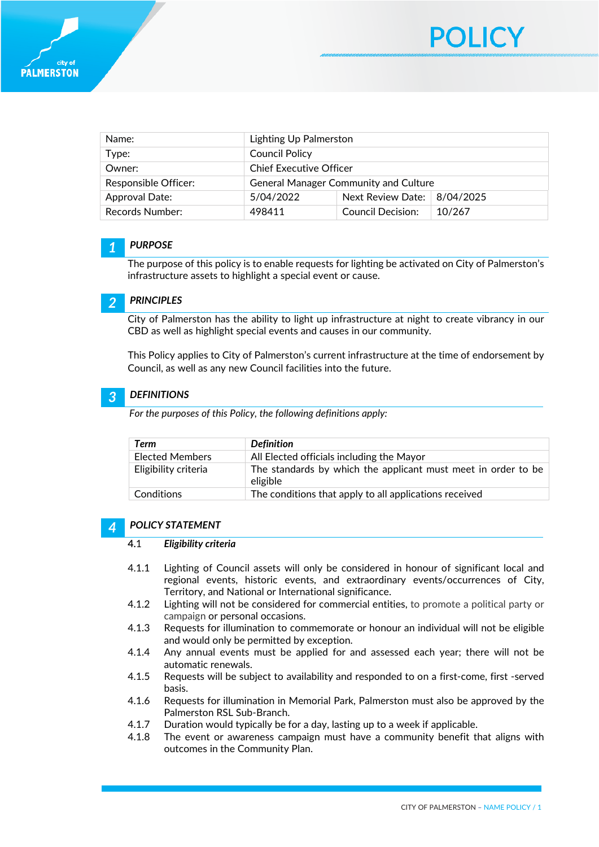

| Name:                | Lighting Up Palmerston                       |                                     |        |
|----------------------|----------------------------------------------|-------------------------------------|--------|
| Type:                | <b>Council Policy</b>                        |                                     |        |
| Owner:               | <b>Chief Executive Officer</b>               |                                     |        |
| Responsible Officer: | <b>General Manager Community and Culture</b> |                                     |        |
| Approval Date:       | 5/04/2022                                    | Next Review Date: $\vert$ 8/04/2025 |        |
| Records Number:      | 498411                                       | Council Decision:                   | 10/267 |

### *1 PURPOSE*

The purpose of this policy is to enable requests for lighting be activated on City of Palmerston's infrastructure assets to highlight a special event or cause.

#### *2 PRINCIPLES*

City of Palmerston has the ability to light up infrastructure at night to create vibrancy in our CBD as well as highlight special events and causes in our community.

This Policy applies to City of Palmerston's current infrastructure at the time of endorsement by Council, as well as any new Council facilities into the future.

## *3 DEFINITIONS*

*For the purposes of this Policy, the following definitions apply:* 

| Term                 | <b>Definition</b>                                                         |
|----------------------|---------------------------------------------------------------------------|
| Elected Members      | All Elected officials including the Mayor                                 |
| Eligibility criteria | The standards by which the applicant must meet in order to be<br>eligible |
| Conditions           | The conditions that apply to all applications received                    |

#### *4 POLICY STATEMENT*

#### **4.**1 *Eligibility criteria*

- 4.1.1 Lighting of Council assets will only be considered in honour of significant local and regional events, historic events, and extraordinary events/occurrences of City, Territory, and National or International significance.
- 4.1.2 Lighting will not be considered for commercial entities, to promote a political party or campaign or personal occasions.
- 4.1.3 Requests for illumination to commemorate or honour an individual will not be eligible and would only be permitted by exception.
- 4.1.4 Any annual events must be applied for and assessed each year; there will not be automatic renewals.
- 4.1.5 Requests will be subject to availability and responded to on a first-come, first -served basis.
- 4.1.6 Requests for illumination in Memorial Park, Palmerston must also be approved by the Palmerston RSL Sub-Branch.
- 4.1.7 Duration would typically be for a day, lasting up to a week if applicable.
- 4.1.8 The event or awareness campaign must have a community benefit that aligns with outcomes in the Community Plan.